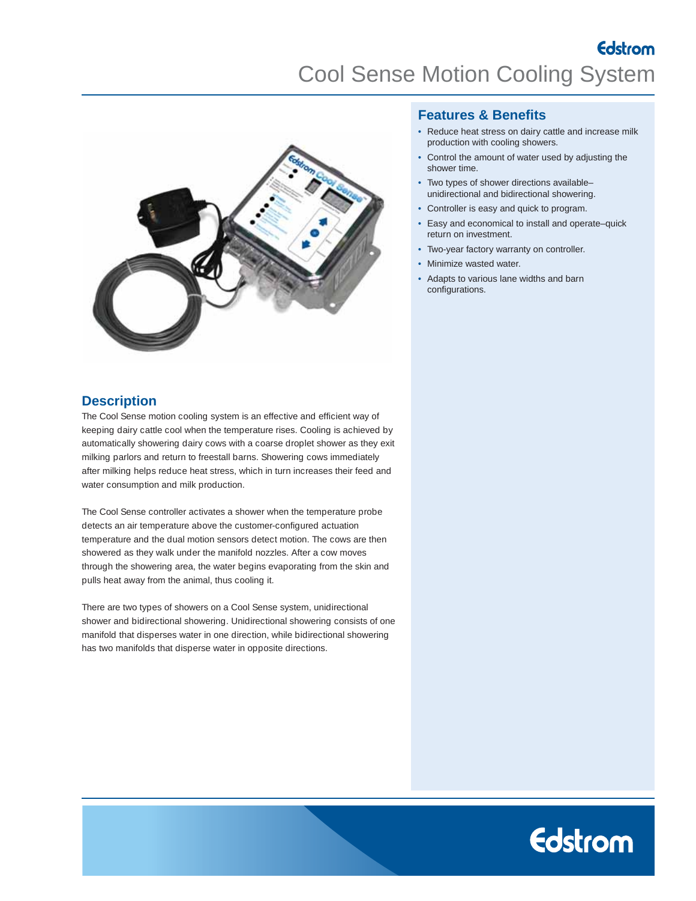Edstrom Cool Sense Motion Cooling System



## **Features & Benefits**

- Reduce heat stress on dairy cattle and increase milk production with cooling showers.
- Control the amount of water used by adjusting the shower time.
- Two types of shower directions available– unidirectional and bidirectional showering.
- Controller is easy and quick to program.
- Easy and economical to install and operate–quick return on investment.
- Two-year factory warranty on controller.
- Minimize wasted water.
- Adapts to various lane widths and barn configurations.

# **Description**

The Cool Sense motion cooling system is an effective and efficient way of keeping dairy cattle cool when the temperature rises. Cooling is achieved by automatically showering dairy cows with a coarse droplet shower as they exit milking parlors and return to freestall barns. Showering cows immediately after milking helps reduce heat stress, which in turn increases their feed and water consumption and milk production.

The Cool Sense controller activates a shower when the temperature probe detects an air temperature above the customer-configured actuation temperature and the dual motion sensors detect motion. The cows are then showered as they walk under the manifold nozzles. After a cow moves through the showering area, the water begins evaporating from the skin and pulls heat away from the animal, thus cooling it.

There are two types of showers on a Cool Sense system, unidirectional shower and bidirectional showering. Unidirectional showering consists of one manifold that disperses water in one direction, while bidirectional showering has two manifolds that disperse water in opposite directions.